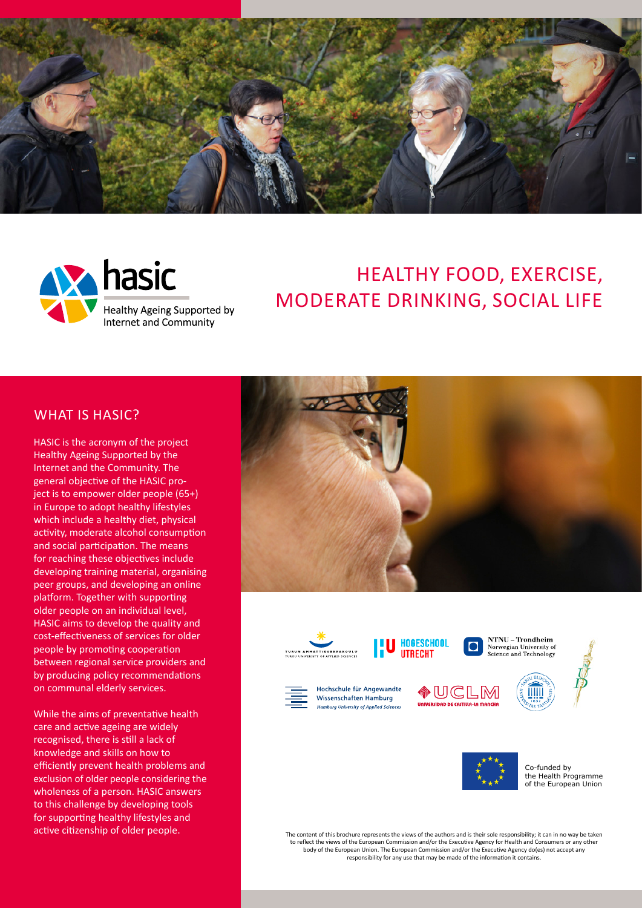



# HEALTHY FOOD, EXERCISE, MODERATE DRINKING, SOCIAL LIFE

#### WHAT IS HASIC?

HASIC is the acronym of the project Healthy Ageing Supported by the Internet and the Community. The general objective of the HASIC project is to empower older people (65+) in Europe to adopt healthy lifestyles which include a healthy diet, physical activity, moderate alcohol consumption and social participation. The means for reaching these objectives include developing training material, organising peer groups, and developing an online platform. Together with supporting older people on an individual level, HASIC aims to develop the quality and cost-effectiveness of services for older people by promoting cooperation between regional service providers and by producing policy recommendations on communal elderly services.

While the aims of preventative health care and active ageing are widely recognised, there is still a lack of knowledge and skills on how to efficiently prevent health problems and exclusion of older people considering the wholeness of a person. HASIC answers to this challenge by developing tools for supporting healthy lifestyles and active citizenship of older people.





**HOGESCHOOL UTRECHT** 

NTNU - Trondheim Norwegian University of<br>Science and Technology n



Hochschule für Angewandte **Wissenschaften Hamburg Hambura University of Applied Sciences** 









Co-funded by the Health Programme of the European Union

The content of this brochure represents the views of the authors and is their sole responsibility; it can in no way be taken to reflect the views of the European Commission and/or the Executive Agency for Health and Consumers or any other body of the European Union. The European Commission and/or the Executive Agency do(es) not accept any responsibility for any use that may be made of the information it contains.